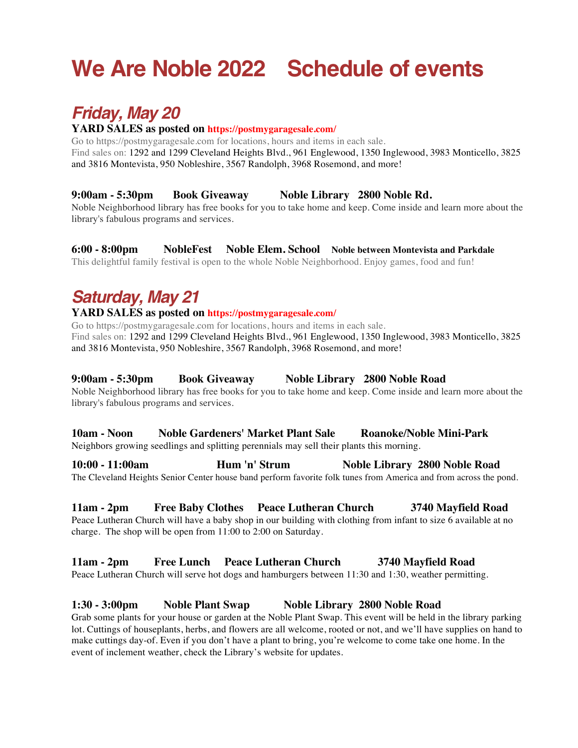# **We Are Noble 2022 Schedule of events**

# *Friday, May 20*

### **YARD SALES as posted on https://postmygaragesale.com/**

Go to https://postmygaragesale.com for locations, hours and items in each sale. Find sales on: 1292 and 1299 Cleveland Heights Blvd., 961 Englewood, 1350 Inglewood, 3983 Monticello, 3825 and 3816 Montevista, 950 Nobleshire, 3567 Randolph, 3968 Rosemond, and more!

#### **9:00am - 5:30pm Book Giveaway Noble Library 2800 Noble Rd.**

Noble Neighborhood library has free books for you to take home and keep. Come inside and learn more about the library's fabulous programs and services.

#### **6:00 - 8:00pm NobleFest Noble Elem. School Noble between Montevista and Parkdale**

This delightful family festival is open to the whole Noble Neighborhood. Enjoy games, food and fun!

# *Saturday, May 21*

#### **YARD SALES as posted on https://postmygaragesale.com/**

Go to https://postmygaragesale.com for locations, hours and items in each sale. Find sales on: 1292 and 1299 Cleveland Heights Blvd., 961 Englewood, 1350 Inglewood, 3983 Monticello, 3825 and 3816 Montevista, 950 Nobleshire, 3567 Randolph, 3968 Rosemond, and more!

#### **9:00am - 5:30pm Book Giveaway Noble Library 2800 Noble Road**

Noble Neighborhood library has free books for you to take home and keep. Come inside and learn more about the library's fabulous programs and services.

#### **10am - Noon Noble Gardeners' Market Plant Sale Roanoke/Noble Mini-Park**

Neighbors growing seedlings and splitting perennials may sell their plants this morning.

**10:00 - 11:00am Hum 'n' Strum Noble Library 2800 Noble Road** The Cleveland Heights Senior Center house band perform favorite folk tunes from America and from across the pond.

### **11am - 2pm Free Baby Clothes Peace Lutheran Church 3740 Mayfield Road**

Peace Lutheran Church will have a baby shop in our building with clothing from infant to size 6 available at no charge. The shop will be open from 11:00 to 2:00 on Saturday.

#### **11am - 2pm Free Lunch Peace Lutheran Church 3740 Mayfield Road**

Peace Lutheran Church will serve hot dogs and hamburgers between 11:30 and 1:30, weather permitting.

#### **1:30 - 3:00pm Noble Plant Swap Noble Library 2800 Noble Road**

Grab some plants for your house or garden at the Noble Plant Swap. This event will be held in the library parking lot. Cuttings of houseplants, herbs, and flowers are all welcome, rooted or not, and we'll have supplies on hand to make cuttings day-of. Even if you don't have a plant to bring, you're welcome to come take one home. In the event of inclement weather, check the Library's website for updates.